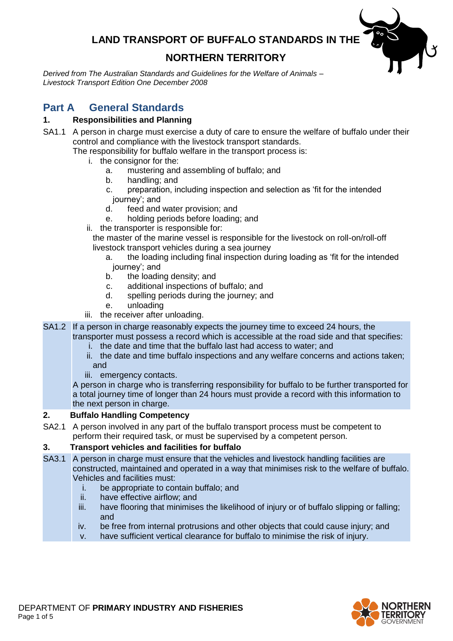### **LAND TRANSPORT OF BUFFALO STANDARDS IN THE**

## **NORTHERN TERRITORY**

*Derived from The Australian Standards and Guidelines for the Welfare of Animals – Livestock Transport Edition One December 2008*

# **Part A General Standards**

### **1. Responsibilities and Planning**

SA1.1 A person in charge must exercise a duty of care to ensure the welfare of buffalo under their control and compliance with the livestock transport standards.

The responsibility for buffalo welfare in the transport process is:

- i. the consignor for the:
	- a. mustering and assembling of buffalo; and
	- b. handling; and
	- c. preparation, including inspection and selection as 'fit for the intended journey'; and<br>d. feed and
	- feed and water provision; and
	- e. holding periods before loading; and
- ii. the transporter is responsible for:

the master of the marine vessel is responsible for the livestock on roll-on/roll-off livestock transport vehicles during a sea journey

- a. the loading including final inspection during loading as 'fit for the intended journey'; and
- b. the loading density; and
- c. additional inspections of buffalo; and
- d. spelling periods during the journey; and
- e. unloading
- iii. the receiver after unloading.
- SA1.2 If a person in charge reasonably expects the journey time to exceed 24 hours, the transporter must possess a record which is accessible at the road side and that specifies:
	- i. the date and time that the buffalo last had access to water; and
	- ii. the date and time buffalo inspections and any welfare concerns and actions taken; and
	- iii. emergency contacts.

A person in charge who is transferring responsibility for buffalo to be further transported for a total journey time of longer than 24 hours must provide a record with this information to the next person in charge.

### **2. Buffalo Handling Competency**

SA2.1 A person involved in any part of the buffalo transport process must be competent to perform their required task, or must be supervised by a competent person.

### **3. Transport vehicles and facilities for buffalo**

- SA3.1 A person in charge must ensure that the vehicles and livestock handling facilities are constructed, maintained and operated in a way that minimises risk to the welfare of buffalo. Vehicles and facilities must:
	- i. be appropriate to contain buffalo; and
	- ii. have effective airflow; and
	- iii. have flooring that minimises the likelihood of injury or of buffalo slipping or falling; and
	- iv. be free from internal protrusions and other objects that could cause injury; and
	- v. have sufficient vertical clearance for buffalo to minimise the risk of injury.

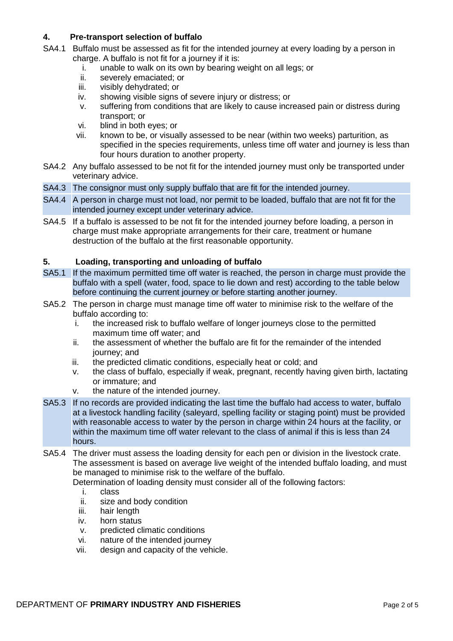### **4. Pre-transport selection of buffalo**

- SA4.1 Buffalo must be assessed as fit for the intended journey at every loading by a person in charge. A buffalo is not fit for a journey if it is:
	- i. unable to walk on its own by bearing weight on all legs; or
	- ii. severely emaciated; or
	- iii. visibly dehydrated; or
	- iv. showing visible signs of severe injury or distress; or
	- v. suffering from conditions that are likely to cause increased pain or distress during transport; or
	- vi. blind in both eyes; or
	- vii. known to be, or visually assessed to be near (within two weeks) parturition, as specified in the species requirements, unless time off water and journey is less than four hours duration to another property.
- SA4.2 Any buffalo assessed to be not fit for the intended journey must only be transported under veterinary advice.
- SA4.3 The consignor must only supply buffalo that are fit for the intended journey.
- SA4.4 A person in charge must not load, nor permit to be loaded, buffalo that are not fit for the intended journey except under veterinary advice.
- SA4.5 If a buffalo is assessed to be not fit for the intended journey before loading, a person in charge must make appropriate arrangements for their care, treatment or humane destruction of the buffalo at the first reasonable opportunity.

#### **5. Loading, transporting and unloading of buffalo**

- SA5.1 If the maximum permitted time off water is reached, the person in charge must provide the buffalo with a spell (water, food, space to lie down and rest) according to the table below before continuing the current journey or before starting another journey.
- SA5.2 The person in charge must manage time off water to minimise risk to the welfare of the buffalo according to:
	- i. the increased risk to buffalo welfare of longer journeys close to the permitted maximum time off water; and
	- ii. the assessment of whether the buffalo are fit for the remainder of the intended journey; and
	- iii. the predicted climatic conditions, especially heat or cold; and
	- iv. the class of buffalo, especially if weak, pregnant, recently having given birth, lactating or immature; and
	- v. the nature of the intended journey.
- SA5.3 If no records are provided indicating the last time the buffalo had access to water, buffalo at a livestock handling facility (saleyard, spelling facility or staging point) must be provided with reasonable access to water by the person in charge within 24 hours at the facility, or within the maximum time off water relevant to the class of animal if this is less than 24 hours.
- SA5.4 The driver must assess the loading density for each pen or division in the livestock crate. The assessment is based on average live weight of the intended buffalo loading, and must be managed to minimise risk to the welfare of the buffalo.

Determination of loading density must consider all of the following factors:

- i. class
- ii. size and body condition
- iii. hair length
- iv. horn status
- v. predicted climatic conditions
- vi. nature of the intended journey
- vii. design and capacity of the vehicle.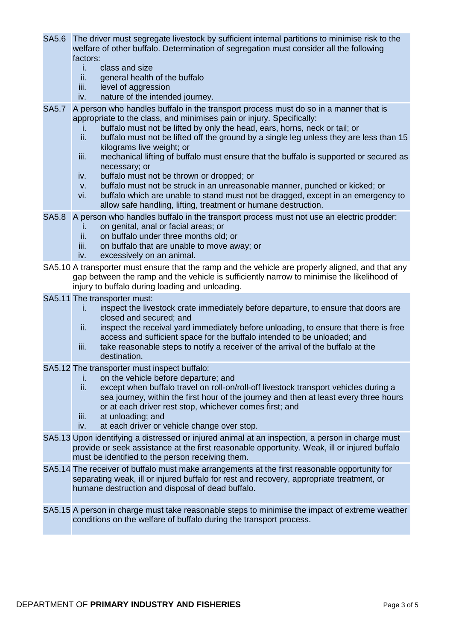- SA5.6 The driver must segregate livestock by sufficient internal partitions to minimise risk to the welfare of other buffalo. Determination of segregation must consider all the following factors:
	- i. class and size
	- ii. general health of the buffalo
	- iii. level of aggression
	- iv. nature of the intended journey.
- SA5.7 A person who handles buffalo in the transport process must do so in a manner that is appropriate to the class, and minimises pain or injury. Specifically:
	- i. buffalo must not be lifted by only the head, ears, horns, neck or tail; or ii. buffalo must not be lifted off the ground by a single leg unless they are
	- buffalo must not be lifted off the ground by a single leg unless they are less than 15 kilograms live weight; or
	- iii. mechanical lifting of buffalo must ensure that the buffalo is supported or secured as necessary; or
	- iv. buffalo must not be thrown or dropped; or
	- v. buffalo must not be struck in an unreasonable manner, punched or kicked; or
	- vi. buffalo which are unable to stand must not be dragged, except in an emergency to allow safe handling, lifting, treatment or humane destruction.
- SA5.8 A person who handles buffalo in the transport process must not use an electric prodder:
	- i. on genital, anal or facial areas; or
	- ii. on buffalo under three months old; or
	- iii. on buffalo that are unable to move away; or
	- iv. excessively on an animal.
- SA5.10 A transporter must ensure that the ramp and the vehicle are properly aligned, and that any gap between the ramp and the vehicle is sufficiently narrow to minimise the likelihood of injury to buffalo during loading and unloading.
- SA5.11 The transporter must:
	- i. inspect the livestock crate immediately before departure, to ensure that doors are closed and secured; and
	- ii. inspect the receival yard immediately before unloading, to ensure that there is free access and sufficient space for the buffalo intended to be unloaded; and
	- iii. take reasonable steps to notify a receiver of the arrival of the buffalo at the destination.
- SA5.12 The transporter must inspect buffalo:
	- i. on the vehicle before departure; and
	- ii. except when buffalo travel on roll-on/roll-off livestock transport vehicles during a sea journey, within the first hour of the journey and then at least every three hours or at each driver rest stop, whichever comes first; and
	- iii. at unloading; and
	- iv. at each driver or vehicle change over stop.
- SA5.13 Upon identifying a distressed or injured animal at an inspection, a person in charge must provide or seek assistance at the first reasonable opportunity. Weak, ill or injured buffalo must be identified to the person receiving them.
- SA5.14 The receiver of buffalo must make arrangements at the first reasonable opportunity for separating weak, ill or injured buffalo for rest and recovery, appropriate treatment, or humane destruction and disposal of dead buffalo.
- SA5.15 A person in charge must take reasonable steps to minimise the impact of extreme weather conditions on the welfare of buffalo during the transport process.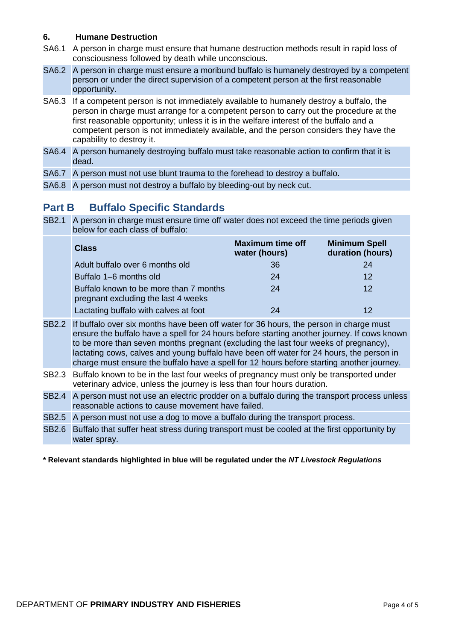#### **6. Humane Destruction**

- SA6.1 A person in charge must ensure that humane destruction methods result in rapid loss of consciousness followed by death while unconscious.
- SA6.2 A person in charge must ensure a moribund buffalo is humanely destroyed by a competent person or under the direct supervision of a competent person at the first reasonable opportunity.
- SA6.3 If a competent person is not immediately available to humanely destroy a buffalo, the person in charge must arrange for a competent person to carry out the procedure at the first reasonable opportunity; unless it is in the welfare interest of the buffalo and a competent person is not immediately available, and the person considers they have the capability to destroy it.
- SA6.4 A person humanely destroying buffalo must take reasonable action to confirm that it is dead.
- SA6.7 A person must not use blunt trauma to the forehead to destroy a buffalo.
- SA6.8 A person must not destroy a buffalo by bleeding-out by neck cut.

## **Part B Buffalo Specific Standards**

SB2.1 A person in charge must ensure time off water does not exceed the time periods given below for each class of buffalo:

| <b>Class</b>                                                                  | <b>Maximum time off</b><br>water (hours) | <b>Minimum Spell</b><br>duration (hours) |
|-------------------------------------------------------------------------------|------------------------------------------|------------------------------------------|
| Adult buffalo over 6 months old                                               | 36                                       | 24                                       |
| Buffalo 1-6 months old                                                        | 24                                       | 12                                       |
| Buffalo known to be more than 7 months<br>pregnant excluding the last 4 weeks | 24                                       | 12                                       |
| Lactating buffalo with calves at foot                                         | 24                                       | 12                                       |

SB2.2 If buffalo over six months have been off water for 36 hours, the person in charge must ensure the buffalo have a spell for 24 hours before starting another journey. If cows known to be more than seven months pregnant (excluding the last four weeks of pregnancy), lactating cows, calves and young buffalo have been off water for 24 hours, the person in charge must ensure the buffalo have a spell for 12 hours before starting another journey.

- SB2.3 Buffalo known to be in the last four weeks of pregnancy must only be transported under veterinary advice, unless the journey is less than four hours duration.
- SB2.4 A person must not use an electric prodder on a buffalo during the transport process unless reasonable actions to cause movement have failed.
- SB2.5 A person must not use a dog to move a buffalo during the transport process.
- SB2.6 Buffalo that suffer heat stress during transport must be cooled at the first opportunity by water spray.

#### **\* Relevant standards highlighted in blue will be regulated under the** *NT Livestock Regulations*